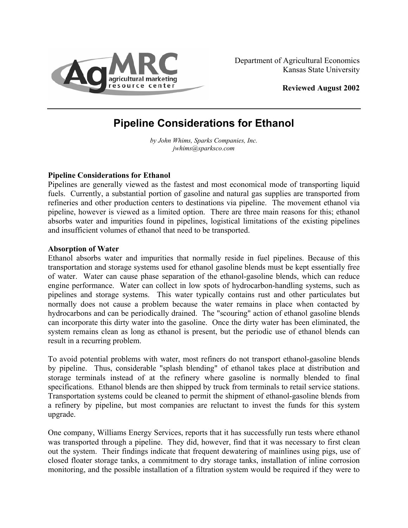

**Reviewed August 2002** 

# **Pipeline Considerations for Ethanol**

*by John Whims, Sparks Companies, Inc. [jwhims@sparksco.com](mailto:mboland@agecon.ksu.edu)*

## **Pipeline Considerations for Ethanol**

Pipelines are generally viewed as the fastest and most economical mode of transporting liquid fuels. Currently, a substantial portion of gasoline and natural gas supplies are transported from refineries and other production centers to destinations via pipeline. The movement ethanol via pipeline, however is viewed as a limited option. There are three main reasons for this; ethanol absorbs water and impurities found in pipelines, logistical limitations of the existing pipelines and insufficient volumes of ethanol that need to be transported.

#### **Absorption of Water**

Ethanol absorbs water and impurities that normally reside in fuel pipelines. Because of this transportation and storage systems used for ethanol gasoline blends must be kept essentially free of water. Water can cause phase separation of the ethanol-gasoline blends, which can reduce engine performance. Water can collect in low spots of hydrocarbon-handling systems, such as pipelines and storage systems. This water typically contains rust and other particulates but normally does not cause a problem because the water remains in place when contacted by hydrocarbons and can be periodically drained. The "scouring" action of ethanol gasoline blends can incorporate this dirty water into the gasoline. Once the dirty water has been eliminated, the system remains clean as long as ethanol is present, but the periodic use of ethanol blends can result in a recurring problem.

To avoid potential problems with water, most refiners do not transport ethanol-gasoline blends by pipeline. Thus, considerable "splash blending" of ethanol takes place at distribution and storage terminals instead of at the refinery where gasoline is normally blended to final specifications. Ethanol blends are then shipped by truck from terminals to retail service stations. Transportation systems could be cleaned to permit the shipment of ethanol-gasoline blends from a refinery by pipeline, but most companies are reluctant to invest the funds for this system upgrade.

One company, Williams Energy Services, reports that it has successfully run tests where ethanol was transported through a pipeline. They did, however, find that it was necessary to first clean out the system. Their findings indicate that frequent dewatering of mainlines using pigs, use of closed floater storage tanks, a commitment to dry storage tanks, installation of inline corrosion monitoring, and the possible installation of a filtration system would be required if they were to